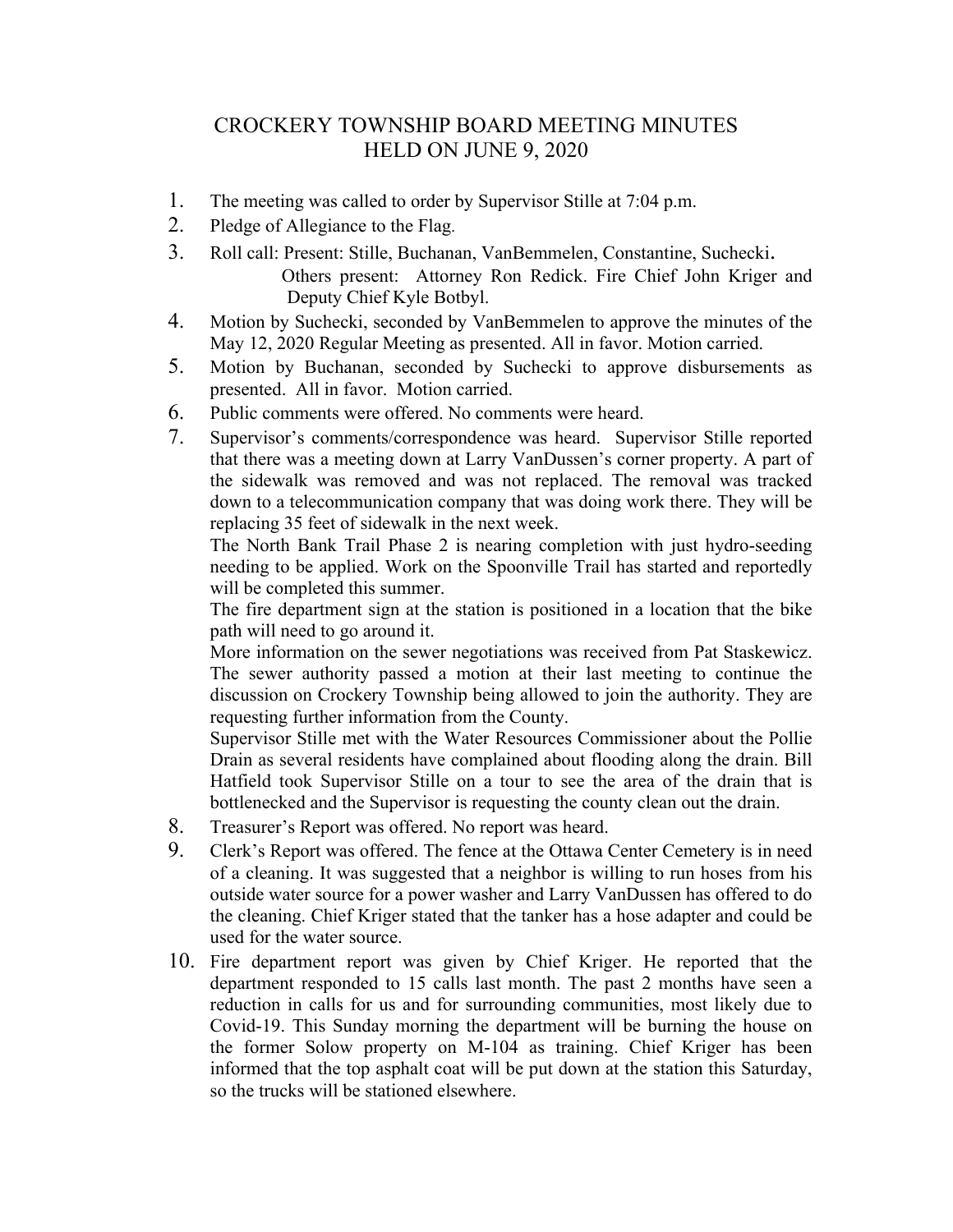## CROCKERY TOWNSHIP BOARD MEETING MINUTES HELD ON JUNE 9, 2020

- 1. The meeting was called to order by Supervisor Stille at 7:04 p.m.
- 2. Pledge of Allegiance to the Flag.
- 3. Roll call: Present: Stille, Buchanan, VanBemmelen, Constantine, Suchecki. Others present: Attorney Ron Redick. Fire Chief John Kriger and
	- Deputy Chief Kyle Botbyl.
- 4. Motion by Suchecki, seconded by VanBemmelen to approve the minutes of the May 12, 2020 Regular Meeting as presented. All in favor. Motion carried.
- 5. Motion by Buchanan, seconded by Suchecki to approve disbursements as presented. All in favor. Motion carried.
- 6. Public comments were offered. No comments were heard.
- 7. Supervisor's comments/correspondence was heard. Supervisor Stille reported that there was a meeting down at Larry VanDussen's corner property. A part of the sidewalk was removed and was not replaced. The removal was tracked down to a telecommunication company that was doing work there. They will be replacing 35 feet of sidewalk in the next week.

The North Bank Trail Phase 2 is nearing completion with just hydro-seeding needing to be applied. Work on the Spoonville Trail has started and reportedly will be completed this summer.

The fire department sign at the station is positioned in a location that the bike path will need to go around it.

More information on the sewer negotiations was received from Pat Staskewicz. The sewer authority passed a motion at their last meeting to continue the discussion on Crockery Township being allowed to join the authority. They are requesting further information from the County.

Supervisor Stille met with the Water Resources Commissioner about the Pollie Drain as several residents have complained about flooding along the drain. Bill Hatfield took Supervisor Stille on a tour to see the area of the drain that is bottlenecked and the Supervisor is requesting the county clean out the drain.

- 8. Treasurer's Report was offered. No report was heard.
- 9. Clerk's Report was offered. The fence at the Ottawa Center Cemetery is in need of a cleaning. It was suggested that a neighbor is willing to run hoses from his outside water source for a power washer and Larry VanDussen has offered to do the cleaning. Chief Kriger stated that the tanker has a hose adapter and could be used for the water source.
- 10. Fire department report was given by Chief Kriger. He reported that the department responded to 15 calls last month. The past 2 months have seen a reduction in calls for us and for surrounding communities, most likely due to Covid-19. This Sunday morning the department will be burning the house on the former Solow property on M-104 as training. Chief Kriger has been informed that the top asphalt coat will be put down at the station this Saturday, so the trucks will be stationed elsewhere.